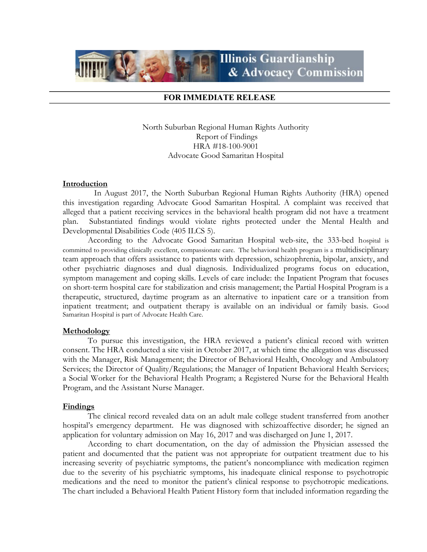

# FOR IMMEDIATE RELEASE

North Suburban Regional Human Rights Authority Report of Findings HRA #18-100-9001 Advocate Good Samaritan Hospital

## **Introduction**

 In August 2017, the North Suburban Regional Human Rights Authority (HRA) opened this investigation regarding Advocate Good Samaritan Hospital. A complaint was received that alleged that a patient receiving services in the behavioral health program did not have a treatment plan. Substantiated findings would violate rights protected under the Mental Health and Developmental Disabilities Code (405 ILCS 5).

According to the Advocate Good Samaritan Hospital web-site, the 333-bed hospital is committed to providing clinically excellent, compassionate care. The behavioral health program is a multidisciplinary team approach that offers assistance to patients with depression, schizophrenia, bipolar, anxiety, and other psychiatric diagnoses and dual diagnosis. Individualized programs focus on education, symptom management and coping skills. Levels of care include: the Inpatient Program that focuses on short-term hospital care for stabilization and crisis management; the Partial Hospital Program is a therapeutic, structured, daytime program as an alternative to inpatient care or a transition from inpatient treatment; and outpatient therapy is available on an individual or family basis. Good Samaritan Hospital is part of Advocate Health Care.

#### Methodology

 To pursue this investigation, the HRA reviewed a patient's clinical record with written consent. The HRA conducted a site visit in October 2017, at which time the allegation was discussed with the Manager, Risk Management; the Director of Behavioral Health, Oncology and Ambulatory Services; the Director of Quality/Regulations; the Manager of Inpatient Behavioral Health Services; a Social Worker for the Behavioral Health Program; a Registered Nurse for the Behavioral Health Program, and the Assistant Nurse Manager.

### Findings

The clinical record revealed data on an adult male college student transferred from another hospital's emergency department. He was diagnosed with schizoaffective disorder; he signed an application for voluntary admission on May 16, 2017 and was discharged on June 1, 2017.

According to chart documentation, on the day of admission the Physician assessed the patient and documented that the patient was not appropriate for outpatient treatment due to his increasing severity of psychiatric symptoms, the patient's noncompliance with medication regimen due to the severity of his psychiatric symptoms, his inadequate clinical response to psychotropic medications and the need to monitor the patient's clinical response to psychotropic medications. The chart included a Behavioral Health Patient History form that included information regarding the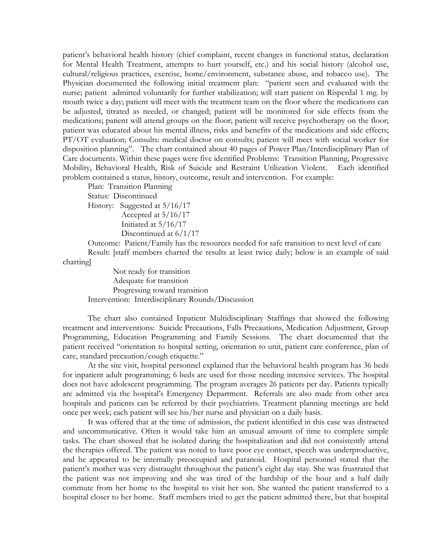patient's behavioral health history (chief complaint, recent changes in functional status, declaration for Mental Health Treatment, attempts to hurt yourself, etc.) and his social history (alcohol use, cultural/religious practices, exercise, home/environment, substance abuse, and tobacco use). The Physician documented the following initial treatment plan: "patient seen and evaluated with the nurse; patient admitted voluntarily for further stabilization; will start patient on Risperdal 1 mg. by mouth twice a day; patient will meet with the treatment team on the floor where the medications can be adjusted, titrated as needed, or changed; patient will be monitored for side effects from the medications; patient will attend groups on the floor; patient will receive psychotherapy on the floor; patient was educated about his mental illness, risks and benefits of the medications and side effects; PT/OT evaluation; Consults: medical doctor on consults; patient will meet with social worker for disposition planning". The chart contained about 40 pages of Power Plan/Interdisciplinary Plan of Care documents. Within these pages were five identified Problems: Transition Planning, Progressive Mobility, Behavioral Health, Risk of Suicide and Restraint Utilization Violent. Each identified problem contained a status, history, outcome, result and intervention. For example:

Plan: Transition Planning Status: Discontinued History: Suggested at 5/16/17 Accepted at 5/16/17 Initiated at 5/16/17 Discontinued at 6/1/17

Outcome: Patient/Family has the resources needed for safe transition to next level of care Result: [staff members charted the results at least twice daily; below is an example of said charting]

 Not ready for transition Adequate for transition Progressing toward transition Intervention: Interdisciplinary Rounds/Discussion

The chart also contained Inpatient Multidisciplinary Staffings that showed the following treatment and interventions: Suicide Precautions, Falls Precautions, Medication Adjustment, Group Programming, Education Programming and Family Sessions. The chart documented that the patient received "orientation to hospital setting, orientation to unit, patient care conference, plan of care, standard precaution/cough etiquette."

At the site visit, hospital personnel explained that the behavioral health program has 36 beds for inpatient adult programming; 6 beds are used for those needing intensive services. The hospital does not have adolescent programming. The program averages 26 patients per day. Patients typically are admitted via the hospital's Emergency Department. Referrals are also made from other area hospitals and patients can be referred by their psychiatrists. Treatment planning meetings are held once per week; each patient will see his/her nurse and physician on a daily basis.

It was offered that at the time of admission, the patient identified in this case was distracted and uncommunicative. Often it would take him an unusual amount of time to complete simple tasks. The chart showed that he isolated during the hospitalization and did not consistently attend the therapies offered. The patient was noted to have poor eye contact, speech was underproductive, and he appeared to be internally preoccupied and paranoid. Hospital personnel stated that the patient's mother was very distraught throughout the patient's eight day stay. She was frustrated that the patient was not improving and she was tired of the hardship of the hour and a half daily commute from her home to the hospital to visit her son. She wanted the patient transferred to a hospital closer to her home. Staff members tried to get the patient admitted there, but that hospital